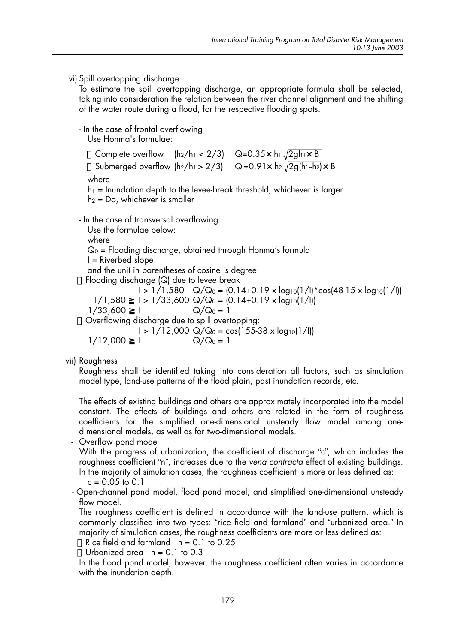#### vi) Spill overtopping discharge

To estimate the spill overtopping discharge, an appropriate formula shall be selected, taking into consideration the relation between the river channel alignment and the shifting of the water route during a flood, for the respective flooding spots.

# - In the case of frontal overflowing

Use Honma's formulae:

Complete overflow  $(h_2/h_1 < 2/3)$  Q=0.35 x h<sub>1</sub> $\sqrt{2gh_1 \times B}$ Submerged overflow  $(h_2/h_1 > 2/3)$  Q=0.91x  $h_2\sqrt{2gh_1-h_2} \times B$ where  $h_1$  = Inundation depth to the levee-break threshold, whichever is larger  $h_2 = Do$ , whichever is smaller - In the case of transversal overflowing Use the formulae below: where  $Q_0$  = Flooding discharge, obtained through Honma's formula  $I = Riverbed slope$ and the unit in parentheses of cosine is degree: Flooding discharge  $(Q)$  due to levee break  $1 > 1/1,580$  Q/Q<sub>0</sub> =  $(0.14+0.19 \times log_{10}(1/1)*cos(48-15 \times log_{10}(1/1)))$  $1/1,580$  $1 > 1/33,600$  Q/Q<sub>0</sub> =  $(0.14+0.19 \times log_{10}(1/1))$  $Q/Q_0 = 1$ 1/33,600  $\mathsf{L}$ Overflowing discharge due to spill overtopping:  $1 > 1/12,000$  Q/Q<sub>0</sub> = cos(155-38 x log<sub>10</sub>(1/l)) 1/12,000  $\mathsf{L}$  $Q/Q_0 = 1$ 

vii) Roughness

Roughness shall be identified taking into consideration all factors, such as simulation model type, land-use patterns of the flood plain, past inundation records, etc.

The effects of existing buildings and others are approximately incorporated into the model constant. The effects of buildings and others are related in the form of roughness coefficients for the simplified one-dimensional unsteady flow model among onedimensional models, as well as for two-dimensional models.

- Overflow pond model

With the progress of urbanization, the coefficient of discharge "c", which includes the roughness coefficient "n", increases due to the vena contracta effect of existing buildings. In the majority of simulation cases, the roughness coefficient is more or less defined as:

 $c = 0.05$  to 0.1

- Open-channel pond model, flood pond model, and simplified one-dimensional unsteady flow model.

The roughness coefficient is defined in accordance with the land-use pattern, which is commonly classified into two types: "rice field and farmland" and "urbanized area." In majority of simulation cases, the roughness coefficients are more or less defined as:

Rice field and farmland  $n = 0.1$  to 0.25

Urbanized area  $n = 0.1$  to 0.3

In the flood pond model, however, the roughness coefficient often varies in accordance with the inundation depth.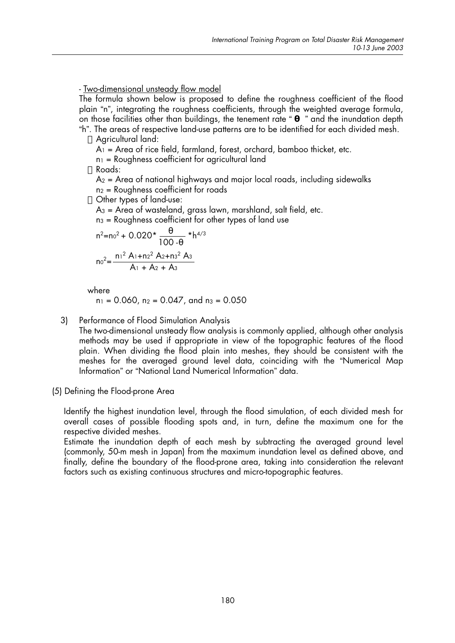### - Two-dimensional unsteady flow model

The formula shown below is proposed to define the roughness coefficient of the flood plain "n", integrating the roughness coefficients, through the weighted average formula, on those facilities other than buildings, the tenement rate " " and the inundation depth

"h". The areas of respective land-use patterns are to be identified for each divided mesh. Aaricultural land:

 $A_1$  = Area of rice field, farmland, forest, orchard, bamboo thicket, etc.

 $n_1$  = Roughness coefficient for agricultural land

 $R$ 

 $A_2$  = Area of national highways and major local roads, including sidewalks  $n_2$  = Roughness coefficient for roads

Other types of land-use:

 $A_3$  = Area of wasteland, grass lawn, marshland, salt field, etc.

 $n_3$  = Roughness coefficient for other types of land use

$$
n^{2}=n0^{2} + 0.020* \frac{100}{100}
$$
  

$$
n0^{2} = \frac{n1^{2} A1 + n2^{2} A2 + n3^{2} A3}{A1 + A2 + A3}
$$

where

 $n_1 = 0.060$ ,  $n_2 = 0.047$ , and  $n_3 = 0.050$ 

3) Performance of Flood Simulation Analysis

> The two-dimensional unsteady flow analysis is commonly applied, although other analysis methods may be used if appropriate in view of the topographic features of the flood plain. When dividing the flood plain into meshes, they should be consistent with the meshes for the averaged ground level data, coinciding with the "Numerical Map Information" or "National Land Numerical Information" data.

(5) Defining the Flood-prone Area

Identify the highest inundation level, through the flood simulation, of each divided mesh for overall cases of possible flooding spots and, in turn, define the maximum one for the respective divided meshes.

Estimate the inundation depth of each mesh by subtracting the averaged ground level (commonly, 50-m mesh in Japan) from the maximum inundation level as defined above, and finally, define the boundary of the flood-prone area, taking into consideration the relevant factors such as existing continuous structures and micro-topographic features.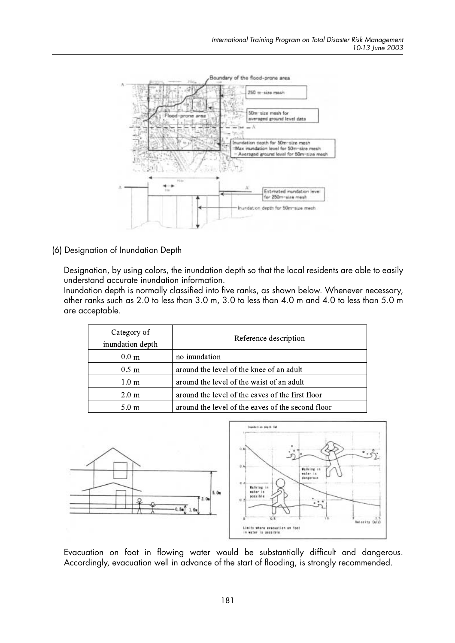

(6) Designation of Inundation Depth

Designation, by using colors, the inundation depth so that the local residents are able to easily understand accurate inundation information.

Inundation depth is normally classified into five ranks, as shown below. Whenever necessary, other ranks such as 2.0 to less than 3.0 m, 3.0 to less than 4.0 m and 4.0 to less than 5.0 m are acceptable.

| Category of<br>inundation depth | Reference description                             |  |
|---------------------------------|---------------------------------------------------|--|
| 0.0 <sub>m</sub>                | no inundation                                     |  |
| 0.5 <sub>m</sub>                | around the level of the knee of an adult          |  |
| 1.0 <sub>m</sub>                | around the level of the waist of an adult         |  |
| 2.0 <sub>m</sub>                | around the level of the eaves of the first floor  |  |
| 5.0 m                           | around the level of the eaves of the second floor |  |



Evacuation on foot in flowing water would be substantially difficult and dangerous. Accordingly, evacuation well in advance of the start of flooding, is strongly recommended.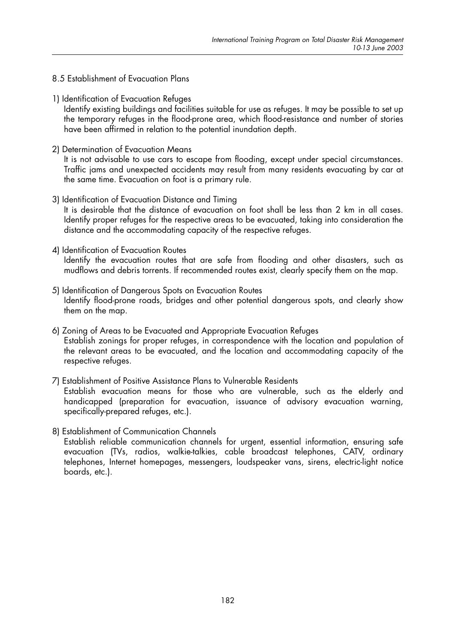### 8.5 Establishment of Evacuation Plans

1) Identification of Evacuation Refuges

Identify existing buildings and facilities suitable for use as refuges. It may be possible to set up the temporary refuges in the flood-prone area, which flood-resistance and number of stories have been affirmed in relation to the potential inundation depth.

2) Determination of Evacuation Means

It is not advisable to use cars to escape from flooding, except under special circumstances. Traffic jams and unexpected accidents may result from many residents evacuating by car at the same time. Evacuation on foot is a primary rule.

- 3) Identification of Evacuation Distance and Timing It is desirable that the distance of evacuation on foot shall be less than 2 km in all cases. Identify proper refuges for the respective areas to be evacuated, taking into consideration the distance and the accommodating capacity of the respective refuges.
- 4) Identification of Evacuation Routes Identify the evacuation routes that are safe from flooding and other disasters, such as mudflows and debris torrents. If recommended routes exist, clearly specify them on the map.
- 5) Identification of Dangerous Spots on Evacuation Routes Identify flood-prone roads, bridges and other potential dangerous spots, and clearly show them on the map.
- 6) Zoning of Areas to be Evacuated and Appropriate Evacuation Refuges Establish zonings for proper refuges, in correspondence with the location and population of the relevant areas to be evacuated, and the location and accommodating capacity of the respective refuges.
- 7) Establishment of Positive Assistance Plans to Vulnerable Residents Establish evacuation means for those who are vulnerable, such as the elderly and handicapped (preparation for evacuation, issuance of advisory evacuation warning, specifically-prepared refuges, etc.).
- 8) Establishment of Communication Channels Establish reliable communication channels for urgent, essential information, ensuring safe evacuation (TVs, radios, walkie-talkies, cable broadcast telephones, CATV, ordinary telephones, Internet homepages, messengers, loudspeaker vans, sirens, electric-light notice boards, etc.).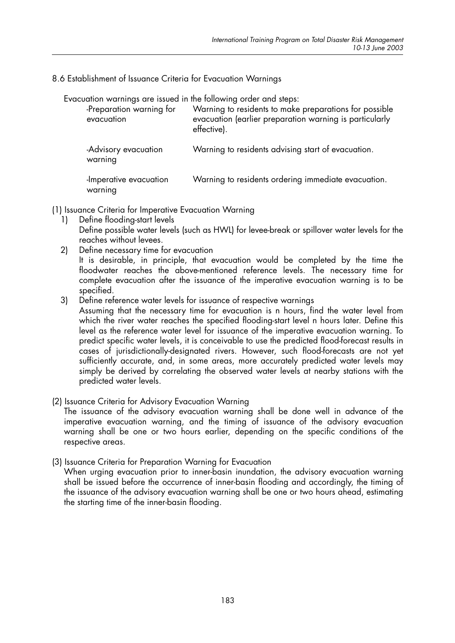8.6 Establishment of Issuance Criteria for Evacuation Warnings

Evacuation warnings are issued in the following order and steps:

| -Preparation warning for<br>evacuation | Warning to residents to make preparations for possible<br>evacuation (earlier preparation warning is particularly<br>effective). |
|----------------------------------------|----------------------------------------------------------------------------------------------------------------------------------|
| -Advisory evacuation<br>warning        | Warning to residents advising start of evacuation.                                                                               |
| -Imperative evacuation<br>warning      | Warning to residents ordering immediate evacuation.                                                                              |

(1) Issuance Criteria for Imperative Evacuation Warning

- Define flooding-start levels  $1)$ Define possible water levels (such as HWL) for levee-break or spillover water levels for the reaches without levees.
- Define necessary time for evacuation  $2)$

It is desirable, in principle, that evacuation would be completed by the time the floodwater reaches the above-mentioned reference levels. The necessary time for complete evacuation after the issuance of the imperative evacuation warning is to be specified.

3) Define reference water levels for issuance of respective warnings

Assuming that the necessary time for evacuation is n hours, find the water level from which the river water reaches the specified flooding-start level n hours later. Define this level as the reference water level for issuance of the imperative evacuation warning. To predict specific water levels, it is conceivable to use the predicted flood-forecast results in cases of jurisdictionally-designated rivers. However, such flood-forecasts are not yet sufficiently accurate, and, in some areas, more accurately predicted water levels may simply be derived by correlating the observed water levels at nearby stations with the predicted water levels.

(2) Issuance Criteria for Advisory Evacuation Warning

The issuance of the advisory evacuation warning shall be done well in advance of the imperative evacuation warning, and the timing of issuance of the advisory evacuation warning shall be one or two hours earlier, depending on the specific conditions of the respective areas.

(3) Issuance Criteria for Preparation Warning for Evacuation

When urging evacuation prior to inner-basin inundation, the advisory evacuation warning shall be issued before the occurrence of inner-basin flooding and accordingly, the timing of the issuance of the advisory evacuation warning shall be one or two hours ahead, estimating the starting time of the inner-basin flooding.